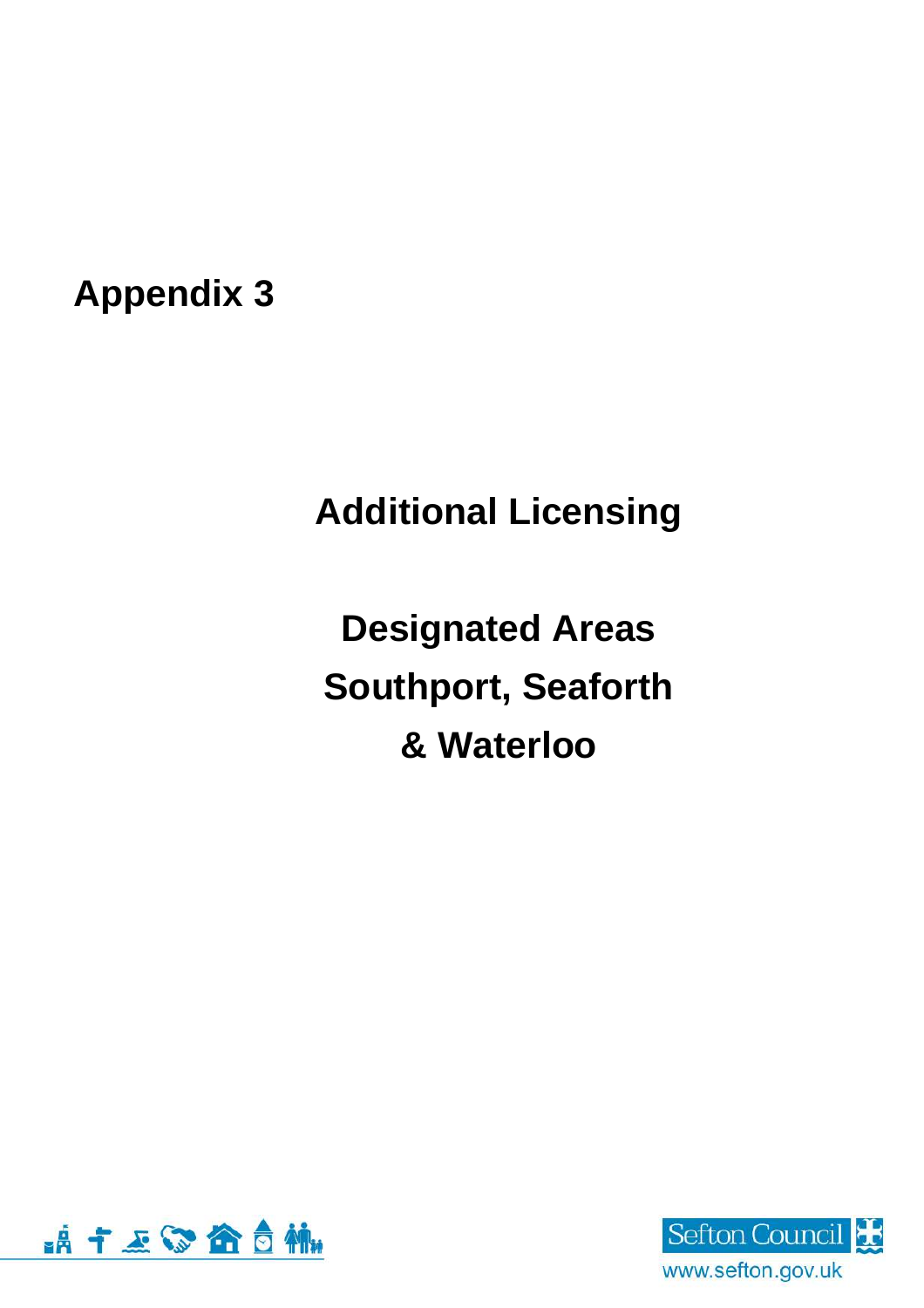**Appendix 3**

# **Additional Licensing**

**Designated Areas Southport, Seaforth & Waterloo**



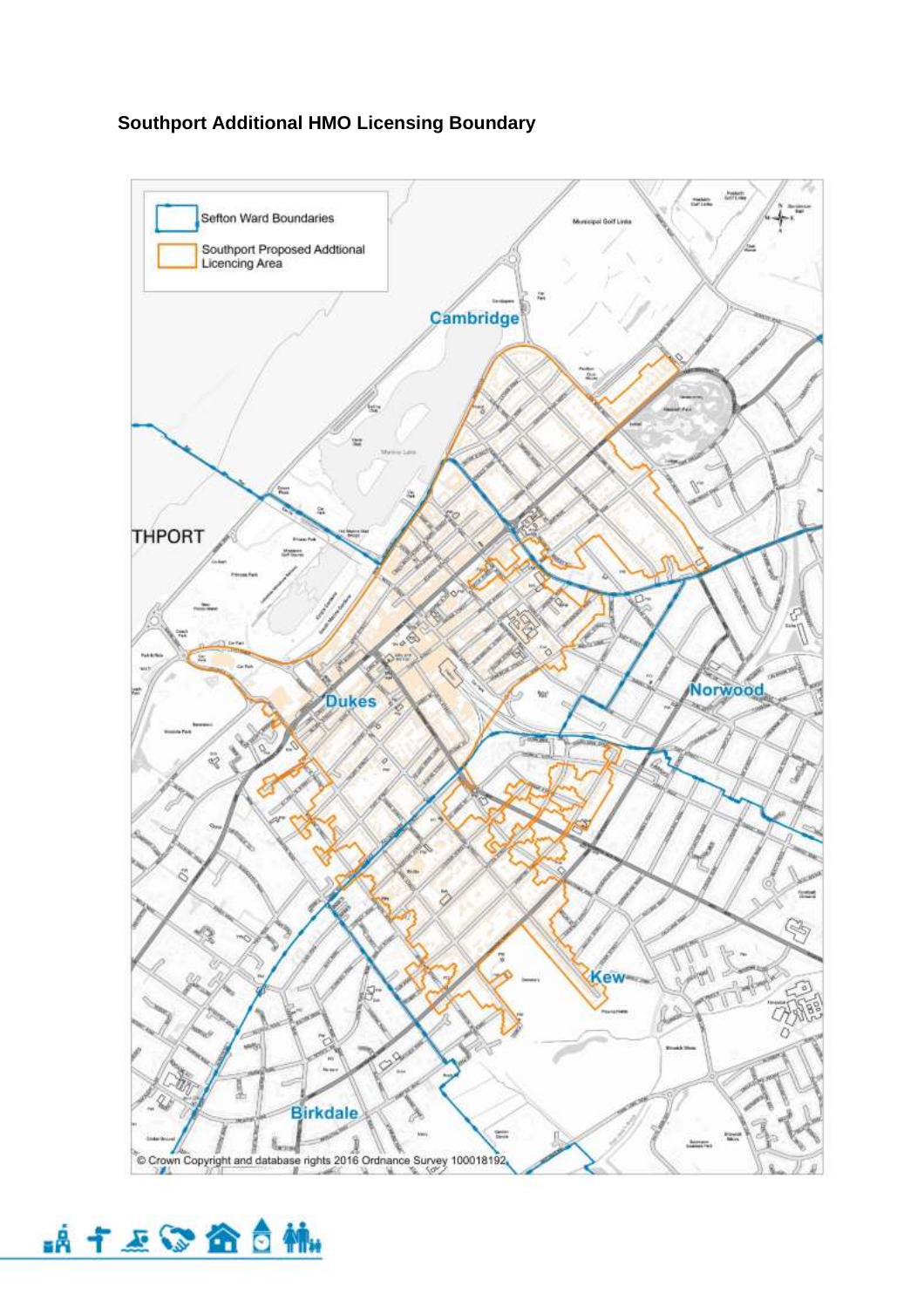### **Southport Additional HMO Licensing Boundary**



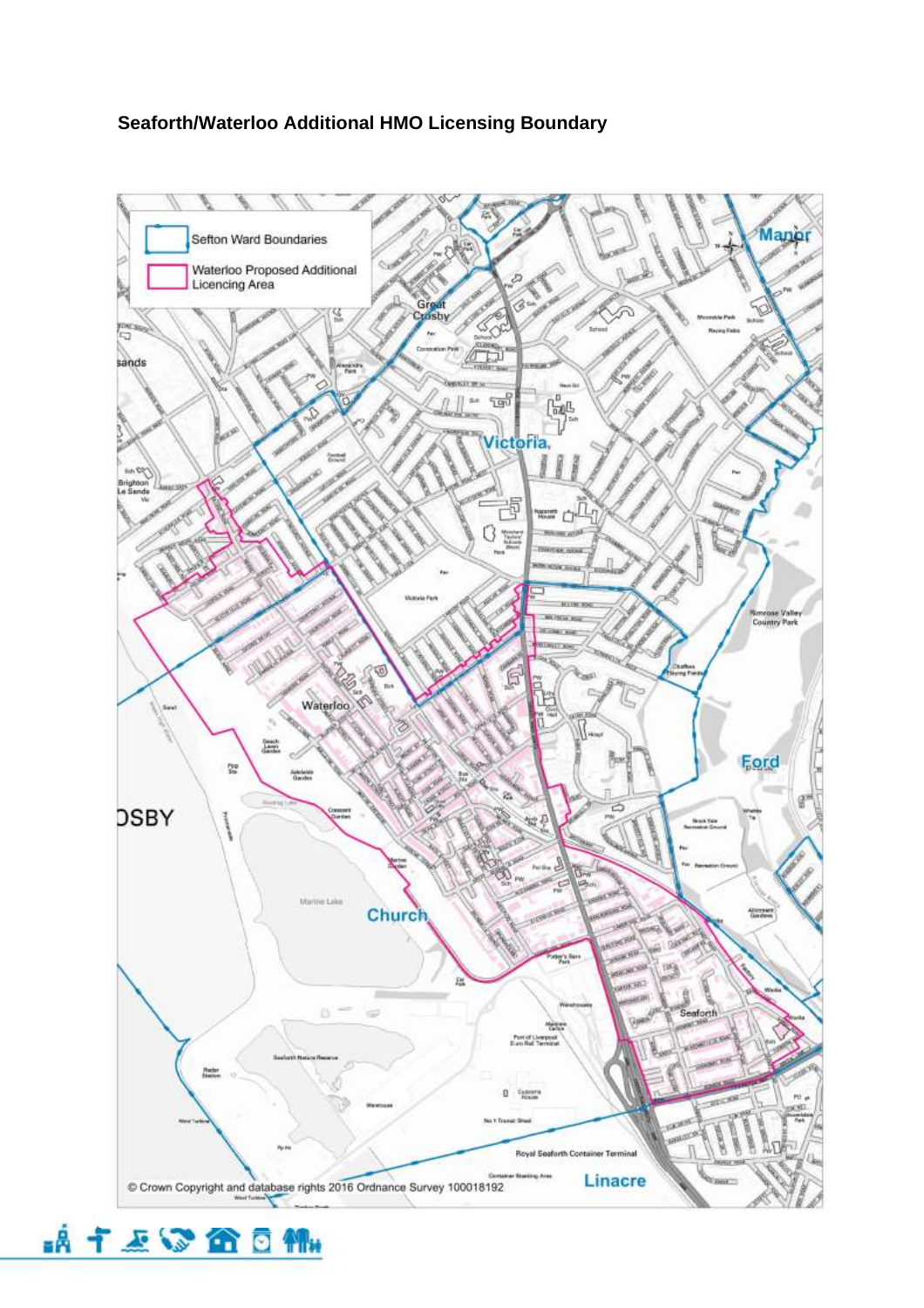#### **Seaforth/Waterloo Additional HMO Licensing Boundary**



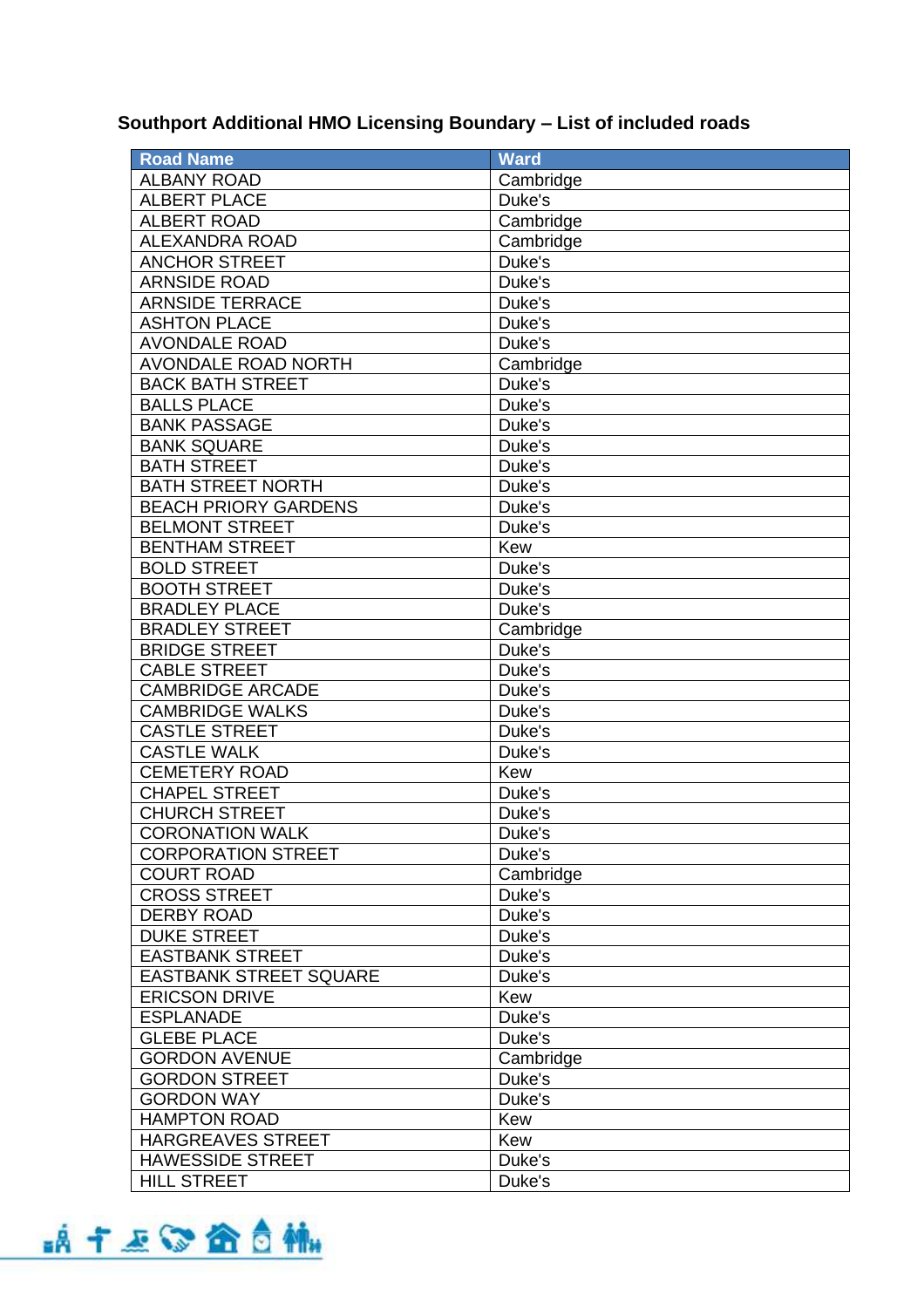## **Southport Additional HMO Licensing Boundary – List of included roads**

| <b>Road Name</b>              | <b>Ward</b> |
|-------------------------------|-------------|
| <b>ALBANY ROAD</b>            | Cambridge   |
| <b>ALBERT PLACE</b>           | Duke's      |
| <b>ALBERT ROAD</b>            | Cambridge   |
| <b>ALEXANDRA ROAD</b>         | Cambridge   |
| <b>ANCHOR STREET</b>          | Duke's      |
| <b>ARNSIDE ROAD</b>           | Duke's      |
| <b>ARNSIDE TERRACE</b>        | Duke's      |
| <b>ASHTON PLACE</b>           | Duke's      |
| <b>AVONDALE ROAD</b>          | Duke's      |
| <b>AVONDALE ROAD NORTH</b>    | Cambridge   |
| <b>BACK BATH STREET</b>       | Duke's      |
| <b>BALLS PLACE</b>            | Duke's      |
| <b>BANK PASSAGE</b>           | Duke's      |
| <b>BANK SQUARE</b>            | Duke's      |
| <b>BATH STREET</b>            | Duke's      |
| <b>BATH STREET NORTH</b>      | Duke's      |
| <b>BEACH PRIORY GARDENS</b>   | Duke's      |
| <b>BELMONT STREET</b>         | Duke's      |
| <b>BENTHAM STREET</b>         | Kew         |
| <b>BOLD STREET</b>            | Duke's      |
| <b>BOOTH STREET</b>           | Duke's      |
| <b>BRADLEY PLACE</b>          | Duke's      |
| <b>BRADLEY STREET</b>         | Cambridge   |
| <b>BRIDGE STREET</b>          | Duke's      |
| <b>CABLE STREET</b>           | Duke's      |
| <b>CAMBRIDGE ARCADE</b>       | Duke's      |
| <b>CAMBRIDGE WALKS</b>        | Duke's      |
| <b>CASTLE STREET</b>          | Duke's      |
| <b>CASTLE WALK</b>            | Duke's      |
| <b>CEMETERY ROAD</b>          | Kew         |
| <b>CHAPEL STREET</b>          | Duke's      |
| <b>CHURCH STREET</b>          | Duke's      |
| <b>CORONATION WALK</b>        | Duke's      |
| <b>CORPORATION STREET</b>     | Duke's      |
| <b>COURT ROAD</b>             | Cambridge   |
| <b>CROSS STREET</b>           | Duke's      |
| <b>DERBY ROAD</b>             | Duke's      |
| <b>DUKE STREET</b>            | Duke's      |
| <b>EASTBANK STREET</b>        | Duke's      |
| <b>EASTBANK STREET SQUARE</b> | Duke's      |
| <b>ERICSON DRIVE</b>          | Kew         |
| <b>ESPLANADE</b>              | Duke's      |
| <b>GLEBE PLACE</b>            | Duke's      |
| <b>GORDON AVENUE</b>          | Cambridge   |
| <b>GORDON STREET</b>          | Duke's      |
| <b>GORDON WAY</b>             | Duke's      |
| <b>HAMPTON ROAD</b>           | Kew         |
| HARGREAVES STREET             | Kew         |
| <b>HAWESSIDE STREET</b>       | Duke's      |
| <b>HILL STREET</b>            | Duke's      |

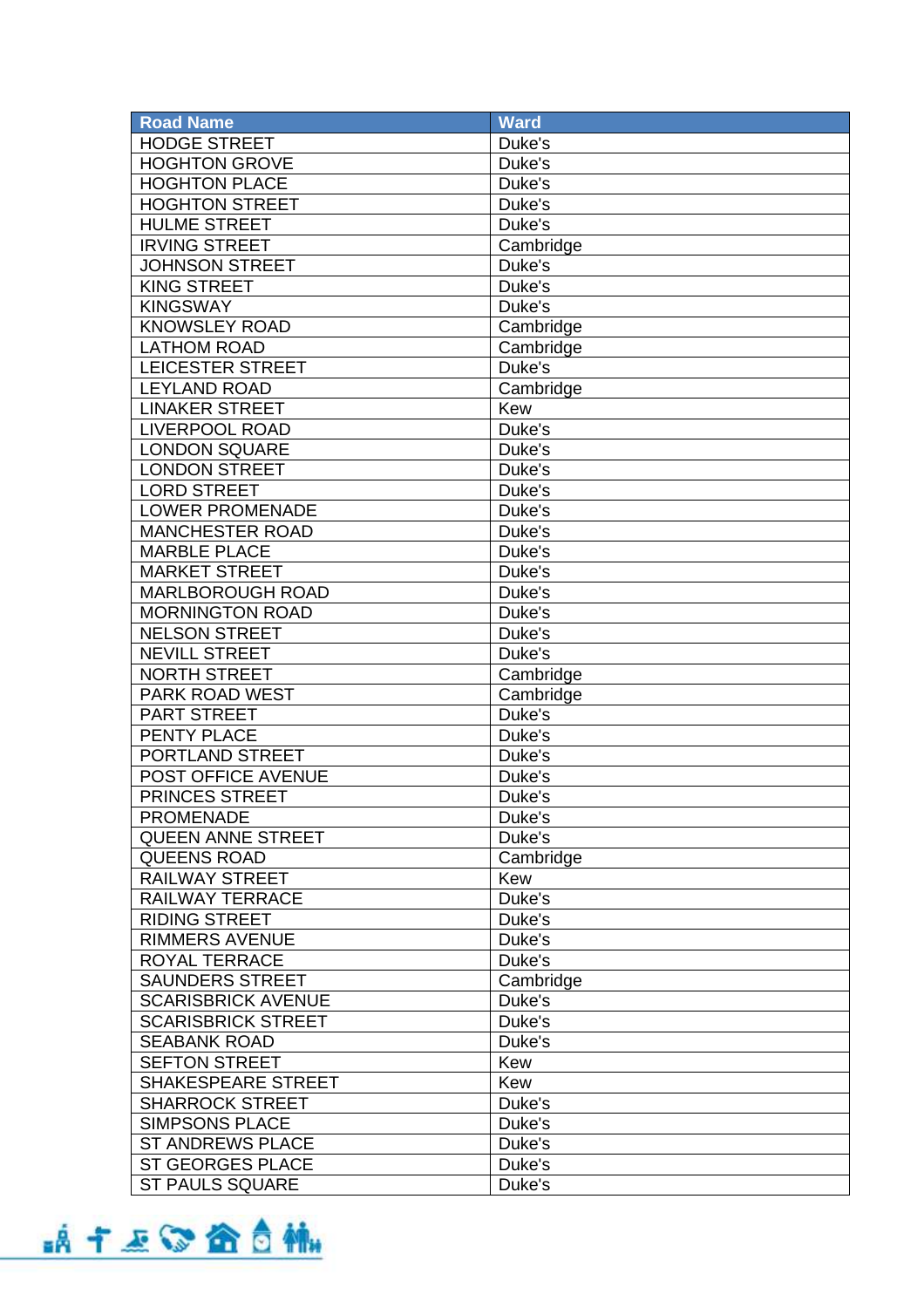| <b>Road Name</b>          | <b>Ward</b> |
|---------------------------|-------------|
| <b>HODGE STREET</b>       | Duke's      |
| <b>HOGHTON GROVE</b>      | Duke's      |
| <b>HOGHTON PLACE</b>      | Duke's      |
| <b>HOGHTON STREET</b>     | Duke's      |
| <b>HULME STREET</b>       | Duke's      |
| <b>IRVING STREET</b>      | Cambridge   |
| <b>JOHNSON STREET</b>     | Duke's      |
| <b>KING STREET</b>        | Duke's      |
| <b>KINGSWAY</b>           | Duke's      |
| <b>KNOWSLEY ROAD</b>      | Cambridge   |
| <b>LATHOM ROAD</b>        | Cambridge   |
| <b>LEICESTER STREET</b>   | Duke's      |
| <b>LEYLAND ROAD</b>       | Cambridge   |
| <b>LINAKER STREET</b>     | Kew         |
| <b>LIVERPOOL ROAD</b>     | Duke's      |
| <b>LONDON SQUARE</b>      | Duke's      |
| <b>LONDON STREET</b>      | Duke's      |
| <b>LORD STREET</b>        | Duke's      |
| <b>LOWER PROMENADE</b>    | Duke's      |
| <b>MANCHESTER ROAD</b>    | Duke's      |
| <b>MARBLE PLACE</b>       | Duke's      |
| <b>MARKET STREET</b>      | Duke's      |
| MARLBOROUGH ROAD          | Duke's      |
| <b>MORNINGTON ROAD</b>    | Duke's      |
| <b>NELSON STREET</b>      | Duke's      |
| <b>NEVILL STREET</b>      | Duke's      |
| <b>NORTH STREET</b>       | Cambridge   |
| PARK ROAD WEST            | Cambridge   |
| <b>PART STREET</b>        | Duke's      |
| <b>PENTY PLACE</b>        | Duke's      |
| PORTLAND STREET           | Duke's      |
| POST OFFICE AVENUE        | Duke's      |
| PRINCES STREET            | Duke's      |
| <b>PROMENADE</b>          | Duke's      |
| <b>QUEEN ANNE STREET</b>  | Duke's      |
| <b>QUEENS ROAD</b>        | Cambridge   |
| <b>RAILWAY STREET</b>     | Kew         |
| <b>RAILWAY TERRACE</b>    | Duke's      |
| <b>RIDING STREET</b>      | Duke's      |
| <b>RIMMERS AVENUE</b>     | Duke's      |
| <b>ROYAL TERRACE</b>      | Duke's      |
| <b>SAUNDERS STREET</b>    | Cambridge   |
| <b>SCARISBRICK AVENUE</b> | Duke's      |
| <b>SCARISBRICK STREET</b> | Duke's      |
| <b>SEABANK ROAD</b>       | Duke's      |
| <b>SEFTON STREET</b>      | Kew         |
| SHAKESPEARE STREET        | Kew         |
| <b>SHARROCK STREET</b>    | Duke's      |
| <b>SIMPSONS PLACE</b>     | Duke's      |
| <b>ST ANDREWS PLACE</b>   | Duke's      |
| <b>ST GEORGES PLACE</b>   | Duke's      |
| <b>ST PAULS SQUARE</b>    | Duke's      |

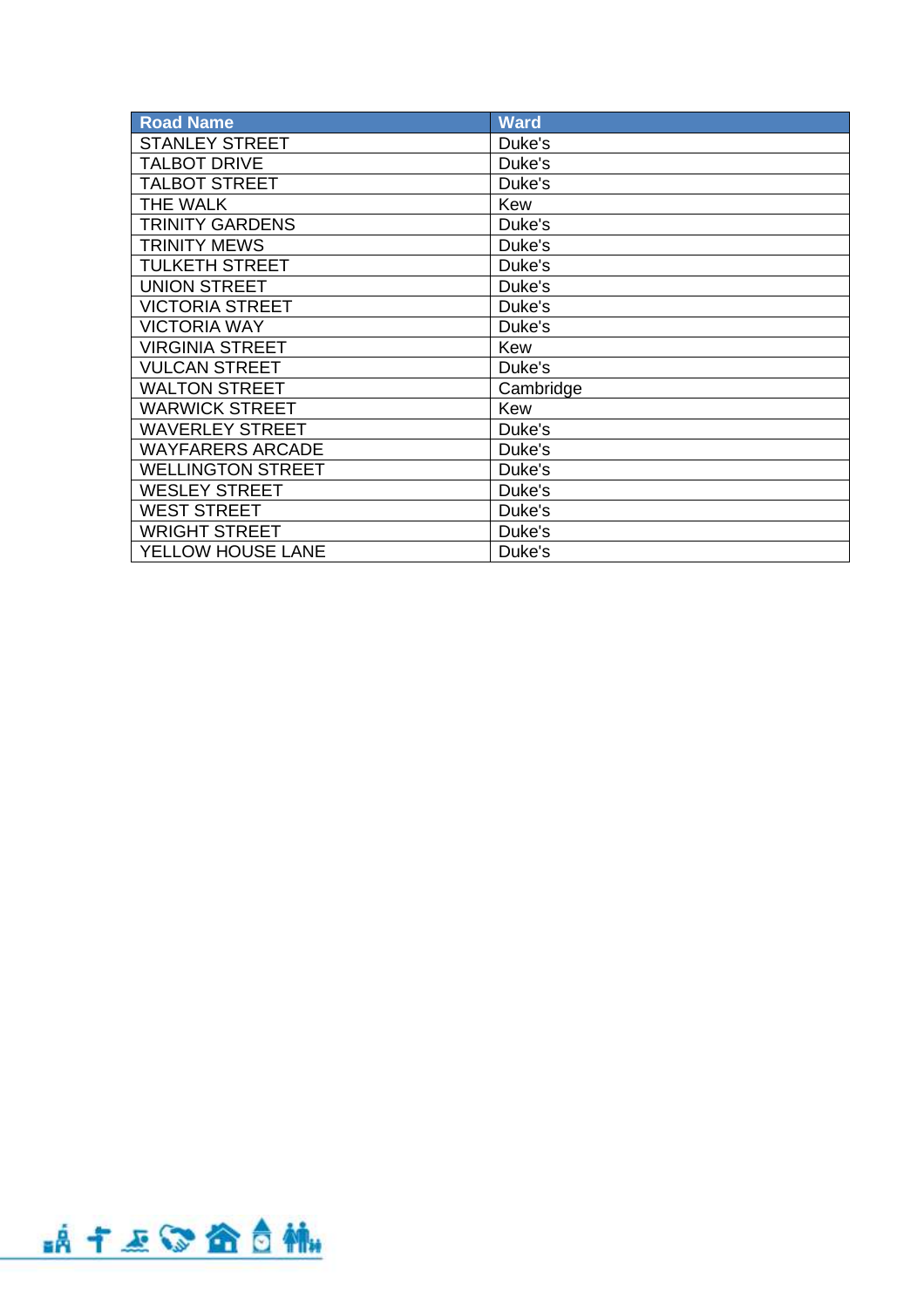| <b>Road Name</b>         | <b>Ward</b> |
|--------------------------|-------------|
| <b>STANLEY STREET</b>    | Duke's      |
| <b>TALBOT DRIVE</b>      | Duke's      |
| <b>TALBOT STREET</b>     | Duke's      |
| <b>THE WALK</b>          | Kew         |
| <b>TRINITY GARDENS</b>   | Duke's      |
| <b>TRINITY MEWS</b>      | Duke's      |
| <b>TULKETH STREET</b>    | Duke's      |
| <b>UNION STREET</b>      | Duke's      |
| <b>VICTORIA STREET</b>   | Duke's      |
| <b>VICTORIA WAY</b>      | Duke's      |
| <b>VIRGINIA STREET</b>   | Kew         |
| <b>VULCAN STREET</b>     | Duke's      |
| <b>WALTON STREET</b>     | Cambridge   |
| <b>WARWICK STREET</b>    | Kew         |
| <b>WAVERLEY STREET</b>   | Duke's      |
| <b>WAYFARERS ARCADE</b>  | Duke's      |
| <b>WELLINGTON STREET</b> | Duke's      |
| <b>WESLEY STREET</b>     | Duke's      |
| <b>WEST STREET</b>       | Duke's      |
| <b>WRIGHT STREET</b>     | Duke's      |
| YELLOW HOUSE LANE        | Duke's      |

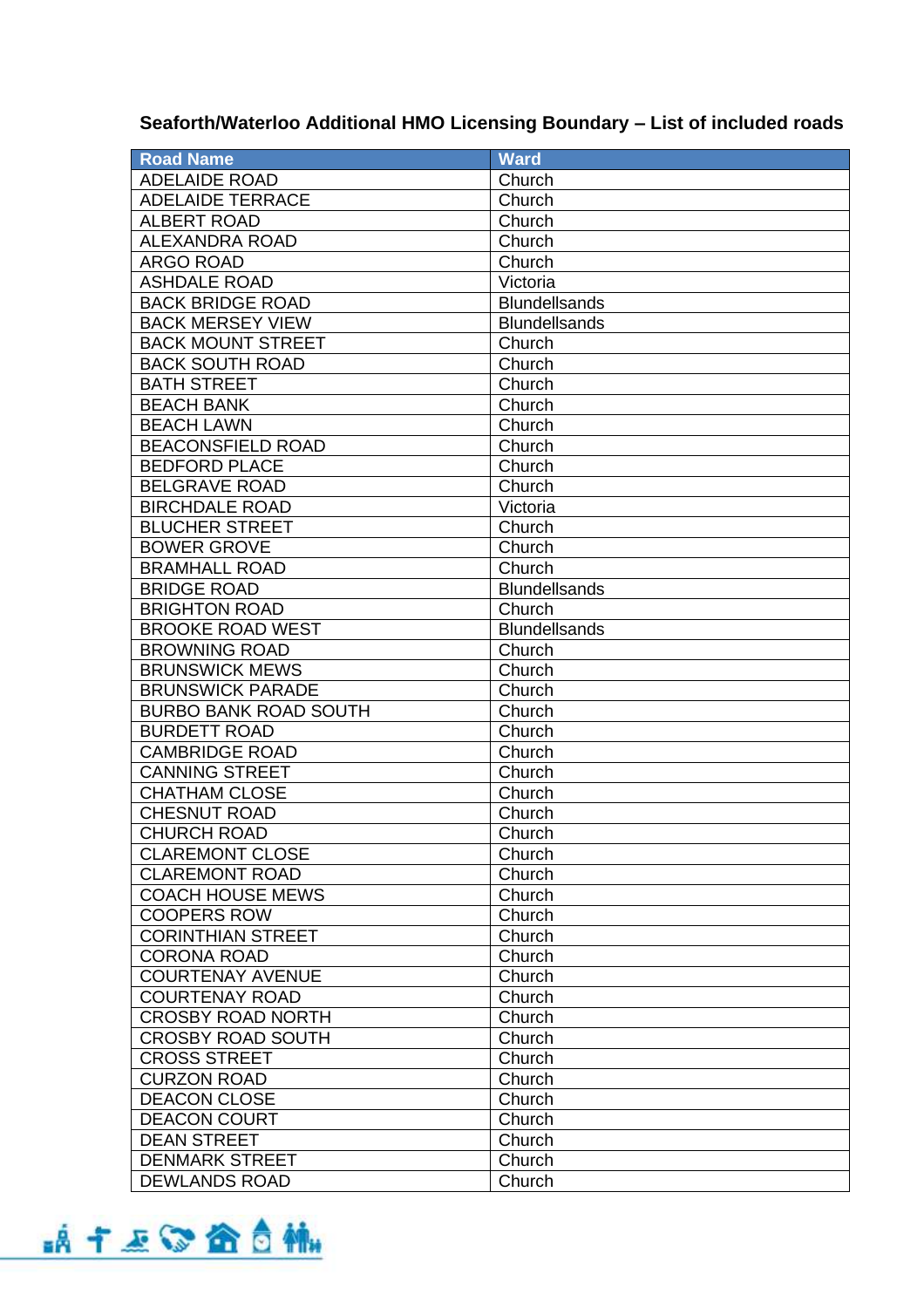## **Seaforth/Waterloo Additional HMO Licensing Boundary – List of included roads**

| <b>Road Name</b>             | <b>Ward</b>          |
|------------------------------|----------------------|
| <b>ADELAIDE ROAD</b>         | Church               |
| <b>ADELAIDE TERRACE</b>      | Church               |
| <b>ALBERT ROAD</b>           | Church               |
| <b>ALEXANDRA ROAD</b>        | Church               |
| <b>ARGO ROAD</b>             | Church               |
| <b>ASHDALE ROAD</b>          | Victoria             |
| <b>BACK BRIDGE ROAD</b>      | <b>Blundellsands</b> |
| <b>BACK MERSEY VIEW</b>      | <b>Blundellsands</b> |
| <b>BACK MOUNT STREET</b>     | Church               |
| <b>BACK SOUTH ROAD</b>       | Church               |
| <b>BATH STREET</b>           | Church               |
| <b>BEACH BANK</b>            | Church               |
| <b>BEACH LAWN</b>            | Church               |
| <b>BEACONSFIELD ROAD</b>     | Church               |
| <b>BEDFORD PLACE</b>         | Church               |
| <b>BELGRAVE ROAD</b>         | Church               |
| <b>BIRCHDALE ROAD</b>        | Victoria             |
| <b>BLUCHER STREET</b>        | Church               |
| <b>BOWER GROVE</b>           | Church               |
| <b>BRAMHALL ROAD</b>         | Church               |
| <b>BRIDGE ROAD</b>           | <b>Blundellsands</b> |
| <b>BRIGHTON ROAD</b>         | Church               |
| <b>BROOKE ROAD WEST</b>      | <b>Blundellsands</b> |
| <b>BROWNING ROAD</b>         | Church               |
| <b>BRUNSWICK MEWS</b>        | Church               |
| <b>BRUNSWICK PARADE</b>      | Church               |
| <b>BURBO BANK ROAD SOUTH</b> | Church               |
| <b>BURDETT ROAD</b>          | Church               |
| <b>CAMBRIDGE ROAD</b>        | Church               |
| <b>CANNING STREET</b>        | Church               |
| <b>CHATHAM CLOSE</b>         | Church               |
| <b>CHESNUT ROAD</b>          | Church               |
| <b>CHURCH ROAD</b>           | Church               |
| <b>CLAREMONT CLOSE</b>       | Church               |
| <b>CLAREMONT ROAD</b>        | Church               |
| <b>COACH HOUSE MEWS</b>      | Church               |
| <b>COOPERS ROW</b>           | Church               |
| <b>CORINTHIAN STREET</b>     | Church               |
| <b>CORONA ROAD</b>           | Church               |
| <b>COURTENAY AVENUE</b>      | Church               |
| <b>COURTENAY ROAD</b>        | Church               |
| <b>CROSBY ROAD NORTH</b>     | Church               |
| <b>CROSBY ROAD SOUTH</b>     | Church               |
| <b>CROSS STREET</b>          | Church               |
| <b>CURZON ROAD</b>           | Church               |
| <b>DEACON CLOSE</b>          | Church               |
| <b>DEACON COURT</b>          | Church               |
| <b>DEAN STREET</b>           | Church               |
| <b>DENMARK STREET</b>        | Church               |
| <b>DEWLANDS ROAD</b>         | Church               |
|                              |                      |

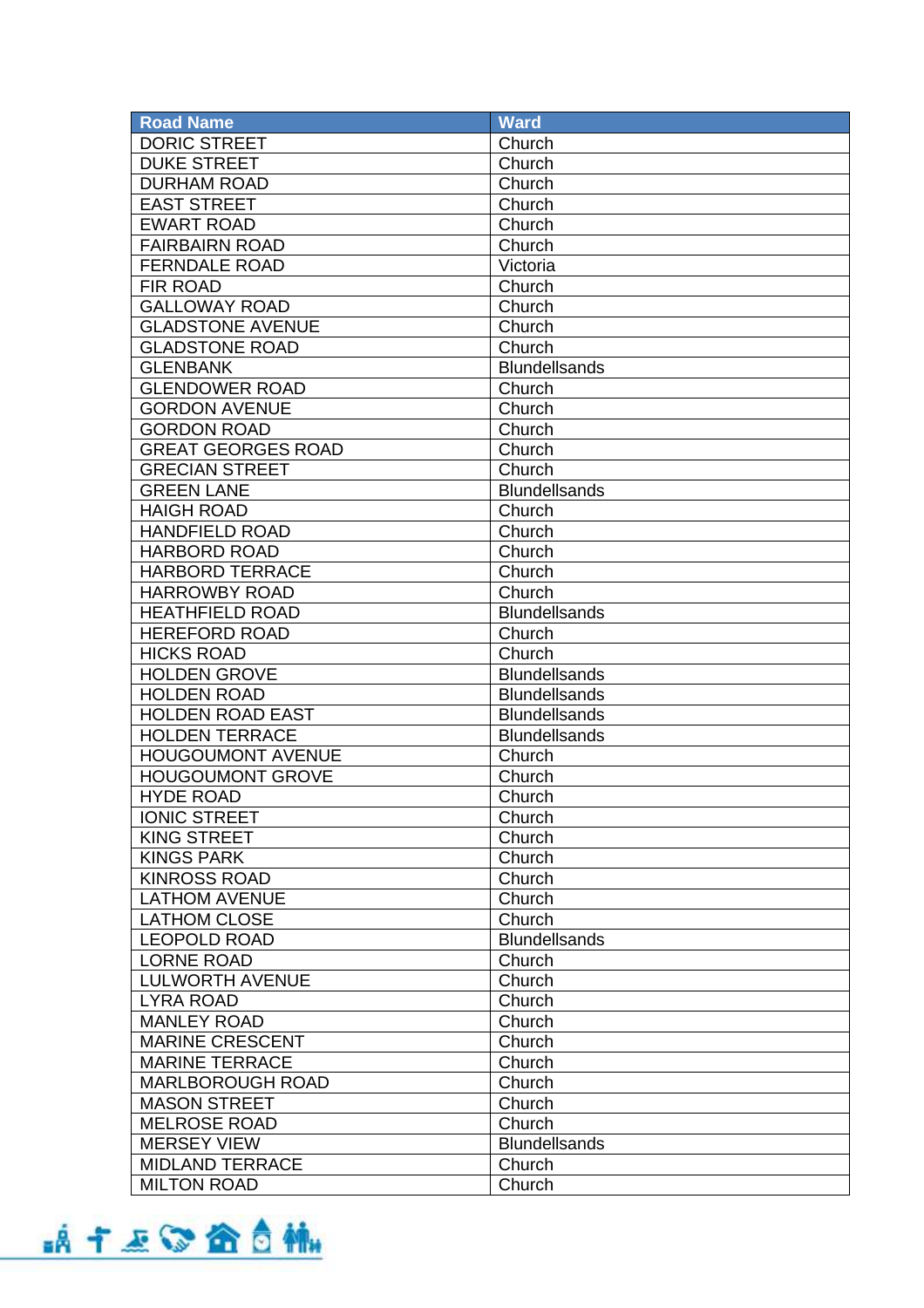| <b>Road Name</b>          | <b>Ward</b>          |
|---------------------------|----------------------|
| <b>DORIC STREET</b>       | Church               |
| <b>DUKE STREET</b>        | Church               |
| <b>DURHAM ROAD</b>        | Church               |
| <b>EAST STREET</b>        | Church               |
| <b>EWART ROAD</b>         | Church               |
| <b>FAIRBAIRN ROAD</b>     | Church               |
| <b>FERNDALE ROAD</b>      | Victoria             |
| <b>FIR ROAD</b>           | Church               |
| <b>GALLOWAY ROAD</b>      | Church               |
| <b>GLADSTONE AVENUE</b>   | Church               |
| <b>GLADSTONE ROAD</b>     | Church               |
| <b>GLENBANK</b>           | <b>Blundellsands</b> |
| <b>GLENDOWER ROAD</b>     | Church               |
| <b>GORDON AVENUE</b>      | Church               |
| <b>GORDON ROAD</b>        | Church               |
| <b>GREAT GEORGES ROAD</b> | Church               |
| <b>GRECIAN STREET</b>     | Church               |
| <b>GREEN LANE</b>         | <b>Blundellsands</b> |
| <b>HAIGH ROAD</b>         | Church               |
| <b>HANDFIELD ROAD</b>     | Church               |
| <b>HARBORD ROAD</b>       | Church               |
| <b>HARBORD TERRACE</b>    | Church               |
| <b>HARROWBY ROAD</b>      | Church               |
| <b>HEATHFIELD ROAD</b>    | <b>Blundellsands</b> |
| <b>HEREFORD ROAD</b>      | Church               |
| <b>HICKS ROAD</b>         | Church               |
| <b>HOLDEN GROVE</b>       | <b>Blundellsands</b> |
| <b>HOLDEN ROAD</b>        | <b>Blundellsands</b> |
| <b>HOLDEN ROAD EAST</b>   | <b>Blundellsands</b> |
| <b>HOLDEN TERRACE</b>     | <b>Blundellsands</b> |
| <b>HOUGOUMONT AVENUE</b>  | Church               |
| <b>HOUGOUMONT GROVE</b>   | Church               |
| <b>HYDE ROAD</b>          | Church               |
| <b>IONIC STREET</b>       | Church               |
| <b>KING STREET</b>        | Church               |
| <b>KINGS PARK</b>         | Church               |
| <b>KINROSS ROAD</b>       | Church               |
| <b>LATHOM AVENUE</b>      | Church               |
| <b>LATHOM CLOSE</b>       | Church               |
| <b>LEOPOLD ROAD</b>       | <b>Blundellsands</b> |
| <b>LORNE ROAD</b>         | Church               |
| <b>LULWORTH AVENUE</b>    | Church               |
| <b>LYRA ROAD</b>          | Church               |
| <b>MANLEY ROAD</b>        | Church               |
| <b>MARINE CRESCENT</b>    | Church               |
| <b>MARINE TERRACE</b>     | Church               |
| <b>MARLBOROUGH ROAD</b>   | Church               |
| <b>MASON STREET</b>       | Church               |
| <b>MELROSE ROAD</b>       | Church               |
| <b>MERSEY VIEW</b>        | <b>Blundellsands</b> |
| <b>MIDLAND TERRACE</b>    | Church               |
| <b>MILTON ROAD</b>        | Church               |
|                           |                      |

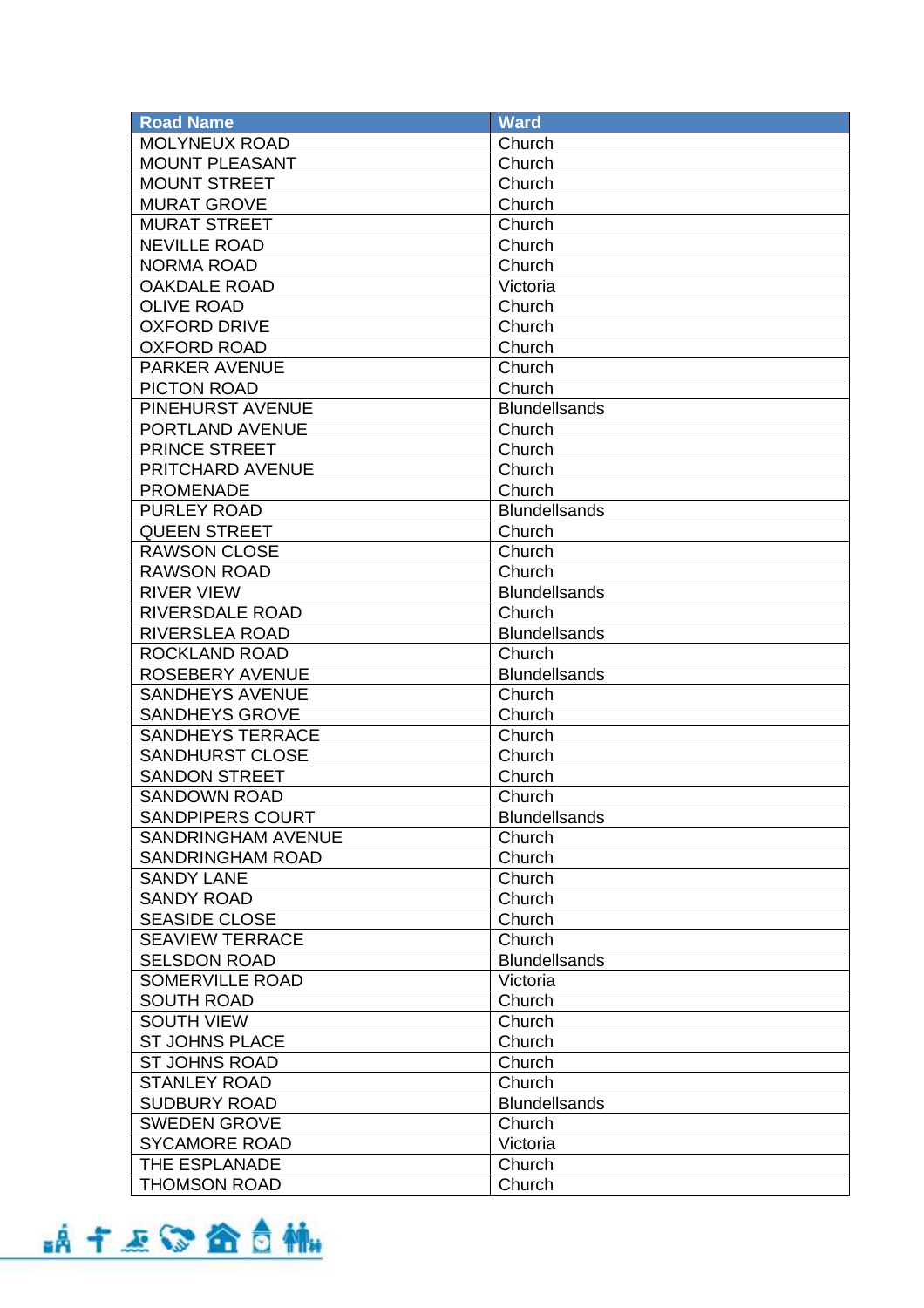| <b>Road Name</b>          | <b>Ward</b>          |
|---------------------------|----------------------|
| <b>MOLYNEUX ROAD</b>      | Church               |
| <b>MOUNT PLEASANT</b>     | Church               |
| <b>MOUNT STREET</b>       | Church               |
| <b>MURAT GROVE</b>        | Church               |
| <b>MURAT STREET</b>       | Church               |
| <b>NEVILLE ROAD</b>       | Church               |
| <b>NORMA ROAD</b>         | Church               |
| <b>OAKDALE ROAD</b>       | Victoria             |
| <b>OLIVE ROAD</b>         | Church               |
| <b>OXFORD DRIVE</b>       | Church               |
| <b>OXFORD ROAD</b>        | Church               |
| <b>PARKER AVENUE</b>      | Church               |
| PICTON ROAD               | Church               |
| PINEHURST AVENUE          | <b>Blundellsands</b> |
| PORTLAND AVENUE           | Church               |
| <b>PRINCE STREET</b>      | Church               |
| PRITCHARD AVENUE          | Church               |
| <b>PROMENADE</b>          | Church               |
| <b>PURLEY ROAD</b>        | <b>Blundellsands</b> |
| <b>QUEEN STREET</b>       | Church               |
| <b>RAWSON CLOSE</b>       | Church               |
| <b>RAWSON ROAD</b>        | Church               |
| <b>RIVER VIEW</b>         | <b>Blundellsands</b> |
| <b>RIVERSDALE ROAD</b>    | Church               |
| <b>RIVERSLEA ROAD</b>     | <b>Blundellsands</b> |
| ROCKLAND ROAD             | Church               |
| <b>ROSEBERY AVENUE</b>    | <b>Blundellsands</b> |
| <b>SANDHEYS AVENUE</b>    | Church               |
| <b>SANDHEYS GROVE</b>     | Church               |
| <b>SANDHEYS TERRACE</b>   | Church               |
| <b>SANDHURST CLOSE</b>    | Church               |
| <b>SANDON STREET</b>      | Church               |
| <b>SANDOWN ROAD</b>       | Church               |
| <b>SANDPIPERS COURT</b>   | <b>Blundellsands</b> |
| <b>SANDRINGHAM AVENUE</b> | Church               |
| <b>SANDRINGHAM ROAD</b>   | Church               |
| <b>SANDY LANE</b>         | Church               |
| <b>SANDY ROAD</b>         | Church               |
| <b>SEASIDE CLOSE</b>      | Church               |
| <b>SEAVIEW TERRACE</b>    | Church               |
| <b>SELSDON ROAD</b>       | <b>Blundellsands</b> |
| <b>SOMERVILLE ROAD</b>    | Victoria             |
| <b>SOUTH ROAD</b>         | Church               |
| <b>SOUTH VIEW</b>         | Church               |
| <b>ST JOHNS PLACE</b>     | Church               |
| <b>ST JOHNS ROAD</b>      | Church               |
| <b>STANLEY ROAD</b>       | Church               |
| <b>SUDBURY ROAD</b>       | <b>Blundellsands</b> |
| <b>SWEDEN GROVE</b>       | Church               |
| <b>SYCAMORE ROAD</b>      | Victoria             |
| THE ESPLANADE             | Church               |
| <b>THOMSON ROAD</b>       | Church               |